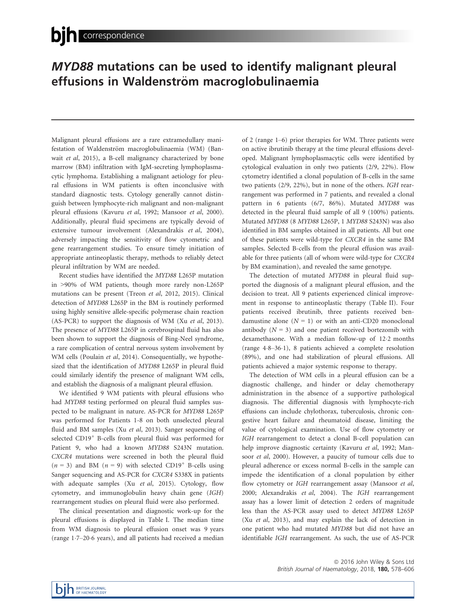## MYD88 mutations can be used to identify malignant pleural effusions in Waldenström macroglobulinaemia

Malignant pleural effusions are a rare extramedullary manifestation of Waldenström macroglobulinaemia (WM) (Banwait et al, 2015), a B-cell malignancy characterized by bone marrow (BM) infiltration with IgM-secreting lymphoplasmacytic lymphoma. Establishing a malignant aetiology for pleural effusions in WM patients is often inconclusive with standard diagnostic tests. Cytology generally cannot distinguish between lymphocyte-rich malignant and non-malignant pleural effusions (Kavuru et al, 1992; Mansoor et al, 2000). Additionally, pleural fluid specimens are typically devoid of extensive tumour involvement (Alexandrakis et al, 2004), adversely impacting the sensitivity of flow cytometric and gene rearrangement studies. To ensure timely initiation of appropriate antineoplastic therapy, methods to reliably detect pleural infiltration by WM are needed.

Recent studies have identified the MYD88 L265P mutation in >90% of WM patients, though more rarely non-L265P mutations can be present (Treon et al, 2012, 2015). Clinical detection of MYD88 L265P in the BM is routinely performed using highly sensitive allele-specific polymerase chain reaction (AS-PCR) to support the diagnosis of WM (Xu et al, 2013). The presence of MYD88 L265P in cerebrospinal fluid has also been shown to support the diagnosis of Bing-Neel syndrome, a rare complication of central nervous system involvement by WM cells (Poulain et al, 2014). Consequentially, we hypothesized that the identification of MYD88 L265P in pleural fluid could similarly identify the presence of malignant WM cells, and establish the diagnosis of a malignant pleural effusion.

We identified 9 WM patients with pleural effusions who had MYD88 testing performed on pleural fluid samples suspected to be malignant in nature. AS-PCR for MYD88 L265P was performed for Patients 1-8 on both unselected pleural fluid and BM samples (Xu et al, 2013). Sanger sequencing of selected CD19<sup>+</sup> B-cells from pleural fluid was performed for Patient 9, who had a known MYD88 S243N mutation. CXCR4 mutations were screened in both the pleural fluid  $(n = 3)$  and BM  $(n = 9)$  with selected CD19<sup>+</sup> B-cells using Sanger sequencing and AS-PCR for CXCR4 S338X in patients with adequate samples (Xu et al, 2015). Cytology, flow cytometry, and immunoglobulin heavy chain gene (IGH) rearrangement studies on pleural fluid were also performed.

The clinical presentation and diagnostic work-up for the pleural effusions is displayed in Table I. The median time from WM diagnosis to pleural effusion onset was 9 years (range 17–206 years), and all patients had received a median of 2 (range 1–6) prior therapies for WM. Three patients were on active ibrutinib therapy at the time pleural effusions developed. Malignant lymphoplasmacytic cells were identified by cytological evaluation in only two patients (2/9, 22%). Flow cytometry identified a clonal population of B-cells in the same two patients (2/9, 22%), but in none of the others. IGH rearrangement was performed in 7 patients, and revealed a clonal pattern in 6 patients (6/7, 86%). Mutated MYD88 was detected in the pleural fluid sample of all 9 (100%) patients. Mutated MYD88 (8 MYD88 L265P, 1 MYD88 S243N) was also identified in BM samples obtained in all patients. All but one of these patients were wild-type for CXCR4 in the same BM samples. Selected B-cells from the pleural effusion was available for three patients (all of whom were wild-type for CXCR4 by BM examination), and revealed the same genotype.

The detection of mutated MYD88 in pleural fluid supported the diagnosis of a malignant pleural effusion, and the decision to treat. All 9 patients experienced clinical improvement in response to antineoplastic therapy (Table II). Four patients received ibrutinib, three patients received bendamustine alone  $(N = 1)$  or with an anti-CD20 monoclonal antibody  $(N = 3)$  and one patient received bortezomib with dexamethasone. With a median follow-up of 122 months (range 48–361), 8 patients achieved a complete resolution (89%), and one had stabilization of pleural effusions. All patients achieved a major systemic response to therapy.

The detection of WM cells in a pleural effusion can be a diagnostic challenge, and hinder or delay chemotherapy administration in the absence of a supportive pathological diagnosis. The differential diagnosis with lymphocyte-rich effusions can include chylothorax, tuberculosis, chronic congestive heart failure and rheumatoid disease, limiting the value of cytological examination. Use of flow cytometry or IGH rearrangement to detect a clonal B-cell population can help improve diagnostic certainty (Kavuru et al, 1992; Mansoor et al, 2000). However, a paucity of tumour cells due to pleural adherence or excess normal B-cells in the sample can impede the identification of a clonal population by either flow cytometry or IGH rearrangement assay (Mansoor et al, 2000; Alexandrakis et al, 2004). The IGH rearrangement assay has a lower limit of detection 2 orders of magnitude less than the AS-PCR assay used to detect MYD88 L265P (Xu et al, 2013), and may explain the lack of detection in one patient who had mutated MYD88 but did not have an identifiable IGH rearrangement. As such, the use of AS-PCR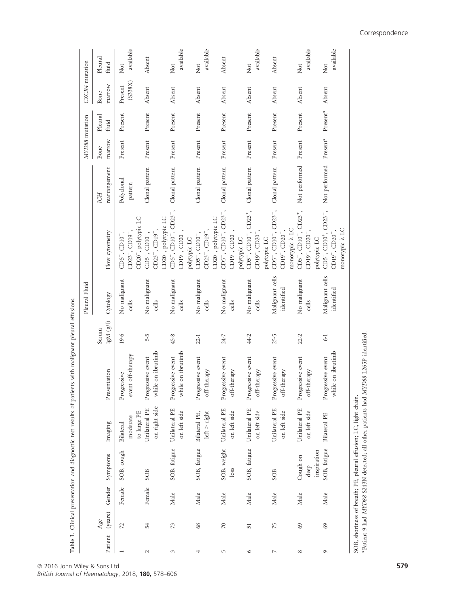|                |                |        |                             |                                                                  |                                                                                    |                                | Pleural Fluid                 |                                                                                                                         |                       | MYD88 mutation                      |                                     | CXCR4 mutation     |                                           |
|----------------|----------------|--------|-----------------------------|------------------------------------------------------------------|------------------------------------------------------------------------------------|--------------------------------|-------------------------------|-------------------------------------------------------------------------------------------------------------------------|-----------------------|-------------------------------------|-------------------------------------|--------------------|-------------------------------------------|
| Patient        | (years)<br>Age | Gender | Symptoms                    | Imaging                                                          | Presentation                                                                       | $\rm IgM$ $\rm (g/l)$<br>Serum | Cytology                      | Flow cytometry                                                                                                          | rearrangement<br>IGH  | marrow<br>Bone                      | Pleural<br>fluid                    | marrow<br>Bone     | Pleural<br>fluid                          |
| $\overline{ }$ | 72             | Female | SOB, cough                  | moderate<br>Bilateral                                            | event off-therapy<br>ogressive<br>Pr                                               | 19.6                           | No malignant<br>cells         | $CD5^+$ , $CD10^-$ ,<br>$223^+$ , $CD19^+$                                                                              | Polyclonal<br>pattern | Present                             | Present                             | (S338X)<br>Present | available<br>Not                          |
| $\sim$         | 54             | Female | SOB                         | on right side<br>Unilateral PE<br>to large PE                    | while on ibrutinib<br>Progressive event                                            | 5.5                            | No malignant<br>cells         | CD20 <sup>+</sup> , polytypic LC<br>$CD23^{-}$ , $CD19^{+}$ ,<br>$CD5^+$ , $CD10^-$ ,                                   | Clonal pattern        | Present                             | Present                             | Absent             | Absent                                    |
| 3              | 73             | Male   | SOB, fatigue                | Unilateral PE<br>on left side                                    | while on ibrutinib<br>Progressive event                                            | 45.8                           | No malignant<br>cells         | $CD5^+$ , $CD10^-$ , $CD23^-$ ,<br>CD20 <sup>+</sup> , polytypic LC<br>$CD19^+$ , $CD20^+$ ,                            | Clonal pattern        | Present                             | Present                             | Absent             | available<br>$\rm \stackrel{tot}{\simeq}$ |
| 4              | $68$           | Male   | SOB, fatigue                | $left$ > right<br>Bilateral PE,                                  | Progressive event<br>off-therapy                                                   | 22.1                           | No malignant<br>cells         | $CD23^{-}$ , $CD19^{+}$ ,<br>$CD5^{-}$ , $CD10^{-}$ ,<br>polytypic LC                                                   | Clonal pattern        | Present                             | Present                             | Absent             | available<br>Not                          |
| 5              | $\gtrsim$      | Male   | SOB, weight<br>loss         | Unilateral PE<br>on left side                                    | Progressive event<br>off-therapy                                                   | 24.7                           | No malignant<br>cells         | CD5 <sup>-</sup> , CD10 <sup>-</sup> , CD23 <sup>-</sup> ,<br>CD20 <sup>+</sup> , polytypic LC<br>$CD19^+$ , $CD20^+$ , | Clonal pattern        | Present                             | Present                             | Absent             | Absent                                    |
| $\circ$        | 51             | Male   | SOB, fatigue                | Unilateral PE<br>on left side                                    | Progressive event<br>off-therapy                                                   | 44.2                           | No malignant<br>cells         | $CD5^{-}$ , $CD10^{-}$ , $CD23^{+}$ ,<br>$CD19^+$ , $CD20^+$ ,<br>polytypic LC                                          | Clonal pattern        | Present                             | Present                             | Absent             | available<br>Not                          |
| $\overline{ }$ | 75             | Male   | SOB                         | Unilateral PE<br>on left side                                    | Progressive event<br>$\mathrm{off}\text{-}$ therapy                                | 25.5                           | Malignant cells<br>identified | $CD5^{-}$ , $CD10^{-}$ , $CD23^{-}$ ,<br>$CD19^+$ , $CD20^+$ ,<br>polytypic LC                                          | Clonal pattern        | Present                             | Present                             | Absent             | Absent                                    |
| ${}^{\circ}$   | 69             | Male   | Cough on<br>deep            | Unilateral PE<br>on left side                                    | Progressive event<br>off-therapy                                                   | 22.2                           | No malignant<br>cells         | $CD5^{-}$ , $CD10^{-}$ , $CD23^{+}$ ,<br>monotypic $\lambda$ LC<br>$CD19^{+}$ , $CD20^{+}$ ,                            | Not performed         | Present                             | Present                             | Absent             | available<br>$_{\rm Not}$                 |
| $\sigma$       | 69             | Male   | SOB, fatigue<br>inspiration | <b>Bilateral PE</b>                                              | while on ibrutinib<br>Progressive event                                            | $6-1$                          | Malignant cells<br>identified | $CD5^+$ , $CD10^+$ , $CD23^-$ ,<br>monotypic $\lambda$ LC<br>$2D19^+$ , $CD20^+$ ,<br>polytypic LC                      | Not performed         | $\ensuremath{\text{Present}}^\star$ | $\ensuremath{\text{Present}}^\star$ | Absent             | available<br>Not                          |
|                |                |        |                             | SOB, shortness of breath; PE, pleural effusion; LC, light chain. | Patient 9 had MYD88 S243N detected; all other patients had MYD88 L265P identified. |                                |                               |                                                                                                                         |                       |                                     |                                     |                    |                                           |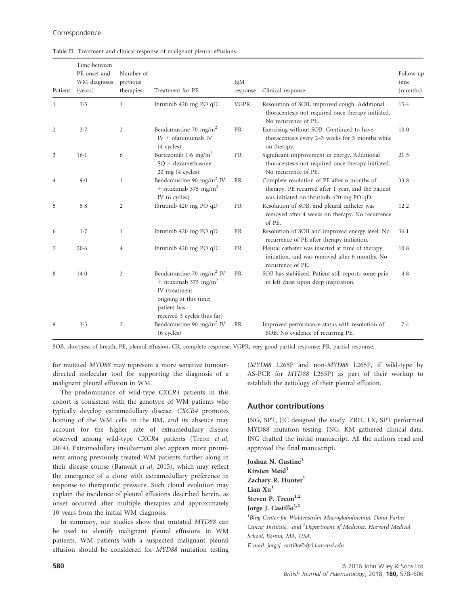| Patient        | Time between<br>PE onset and<br>WM diagnosis<br>(years) | Number of<br>previous<br>therapies | Treatment for PE                                                                                                                                                  | IgM<br>response | Clinical response                                                                                                                             | Follow-up<br>time<br>(months) |
|----------------|---------------------------------------------------------|------------------------------------|-------------------------------------------------------------------------------------------------------------------------------------------------------------------|-----------------|-----------------------------------------------------------------------------------------------------------------------------------------------|-------------------------------|
| 1              | 3.5                                                     | $\mathbf{1}$                       | Ibrutinib 420 mg PO qD                                                                                                                                            | <b>VGPR</b>     | Resolution of SOB, improved cough. Additional<br>thoracentesis not required once therapy initiated.<br>No recurrence of PE.                   | 15.4                          |
| $\overline{2}$ | 3.7                                                     | $\mathfrak{2}$                     | Bendamustine 70 mg/m <sup>2</sup><br>$IV + of atumumab IV$<br>$(4$ cycles)                                                                                        | PR              | Exercising without SOB. Continued to have<br>thoracentesis every 2-3 weeks for 3 months while<br>on therapy.                                  | $10-0$                        |
| 3              | $16-1$                                                  | 6                                  | Bortezomib 1.6 mg/m <sup>2</sup><br>SO + dexamethasone<br>$20$ mg $(4$ cycles)                                                                                    | PR              | Significant improvement in energy. Additional<br>thoracentesis not required once therapy initiated.<br>No recurrence of PE.                   | 21.5                          |
| 4              | 9.0                                                     | $\mathbf{1}$                       | Bendamustine 90 mg/m <sup>2</sup> IV<br>+ rituximab 375 mg/m <sup>2</sup><br>IV $(6 \text{ cycles})$                                                              | PR              | Complete resolution of PE after 6 months of<br>therapy. PE recurred after 1 year, and the patient<br>was initiated on ibrutinib 420 mg PO qD. | 33.8                          |
| 5              | 5.8                                                     | 2                                  | Ibrutinib 420 mg PO qD                                                                                                                                            | PR              | Resolution of SOB, and pleural catheter was<br>removed after 4 weeks on therapy. No recurrence<br>of PE.                                      | $12 - 2$                      |
| 6              | $1-7$                                                   | $\mathbf{1}$                       | Ibrutinib 420 mg PO qD                                                                                                                                            | PR              | Resolution of SOB and improved energy level. No<br>recurrence of PE after therapy initiation.                                                 | $36-1$                        |
| 7              | 20.6                                                    | $\overline{4}$                     | Ibrutinib 420 mg PO qD                                                                                                                                            | <b>PR</b>       | Pleural catheter was inserted at time of therapy<br>initiation, and was removed after 6 months. No<br>recurrence of PE.                       | $10-8$                        |
| 8              | $14-0$                                                  | 3                                  | Bendamustine 70 mg/m <sup>2</sup> IV<br>+ rituximab 375 mg/m <sup>2</sup><br>IV (treatment<br>ongoing at this time;<br>patient has<br>received 3 cycles thus far) | PR              | SOB has stabilized. Patient still reports some pain<br>in left chest upon deep inspiration.                                                   | 4.8                           |
| 9              | 3.5                                                     | $\overline{c}$                     | Bendamustine 90 mg/m <sup>2</sup> IV<br>(6 cycles)                                                                                                                | <b>PR</b>       | Improved performance status with resolution of<br>SOB. No evidence of recurring PE.                                                           | 7.4                           |

Table II. Treatment and clinical response of malignant pleural effusions.

SOB, shortness of breath; PE, pleural effusion; CR, complete response; VGPR, very good partial response; PR, partial response.

for mutated MYD88 may represent a more sensitive tumourdirected molecular tool for supporting the diagnosis of a malignant pleural effusion in WM.

The predominance of wild-type CXCR4 patients in this cohort is consistent with the genotype of WM patients who typically develop extramedullary disease. CXCR4 promotes homing of the WM cells in the BM, and its absence may account for the higher rate of extramedullary disease observed among wild-type CXCR4 patients (Treon et al, 2014). Extramedullary involvement also appears more prominent among previously treated WM patients further along in their disease course (Banwait et al, 2015), which may reflect the emergence of a clone with extramedullary preference in response to therapeutic pressure. Such clonal evolution may explain the incidence of pleural effusions described herein, as onset occurred after multiple therapies and approximately 10 years from the initial WM diagnosis.

In summary, our studies show that mutated MYD88 can be used to identify malignant pleural effusions in WM patients. WM patients with a suspected malignant pleural effusion should be considered for MYD88 mutation testing (MYD88 L265P and non-MYD88 L265P, if wild-type by AS-PCR for MYD88 L265P) as part of their workup to establish the aetiology of their pleural effusion.

## Author contributions

JNG, SPT, JJC designed the study. ZRH, LX, SPT performed MYD88 mutation testing. JNG, KM gathered clinical data. JNG drafted the initial manuscript. All the authors read and approved the final manuscript.

Joshua N. Gustine<sup>1</sup> Kirsten Meid $<sup>1</sup>$ </sup> Zachary R. Hunter<sup>1</sup> Lian Xu<sup>1</sup> Steven P. Treon<sup>1,2</sup> Jorge J. Castillo<sup>1,2</sup>

<sup>1</sup>Bing Center for Waldenström Macroglobulinemia, Dana-Farber Cancer Institute, and <sup>2</sup>Department of Medicine, Harvard Medical School, Boston, MA, USA. E-mail: jorgej\_castillo@dfci.harvard.edu